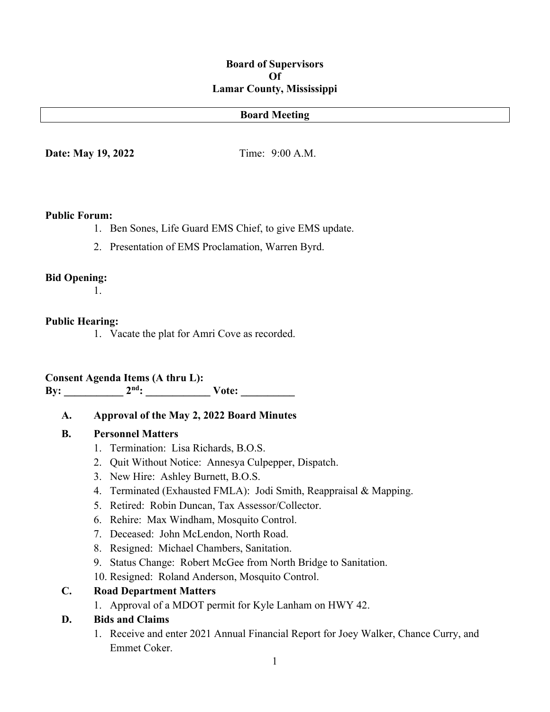#### **Board of Supervisors Of Lamar County, Mississippi**

#### **Board Meeting**

**Date: May 19, 2022** Time: 9:00 A.M.

#### **Public Forum:**

- 1. Ben Sones, Life Guard EMS Chief, to give EMS update.
- 2. Presentation of EMS Proclamation, Warren Byrd.

#### **Bid Opening:**

1.

#### **Public Hearing:**

1. Vacate the plat for Amri Cove as recorded.

# **Consent Agenda Items (A thru L):**

**By:**  $2^{nd}$ :  $\checkmark$  Vote:

#### **A. Approval of the May 2, 2022 Board Minutes**

#### **B. Personnel Matters**

- 1. Termination: Lisa Richards, B.O.S.
- 2. Quit Without Notice: Annesya Culpepper, Dispatch.
- 3. New Hire: Ashley Burnett, B.O.S.
- 4. Terminated (Exhausted FMLA): Jodi Smith, Reappraisal & Mapping.
- 5. Retired: Robin Duncan, Tax Assessor/Collector.
- 6. Rehire: Max Windham, Mosquito Control.
- 7. Deceased: John McLendon, North Road.
- 8. Resigned: Michael Chambers, Sanitation.
- 9. Status Change: Robert McGee from North Bridge to Sanitation.
- 10. Resigned: Roland Anderson, Mosquito Control.

#### **C. Road Department Matters**

1. Approval of a MDOT permit for Kyle Lanham on HWY 42.

#### **D. Bids and Claims**

1. Receive and enter 2021 Annual Financial Report for Joey Walker, Chance Curry, and Emmet Coker.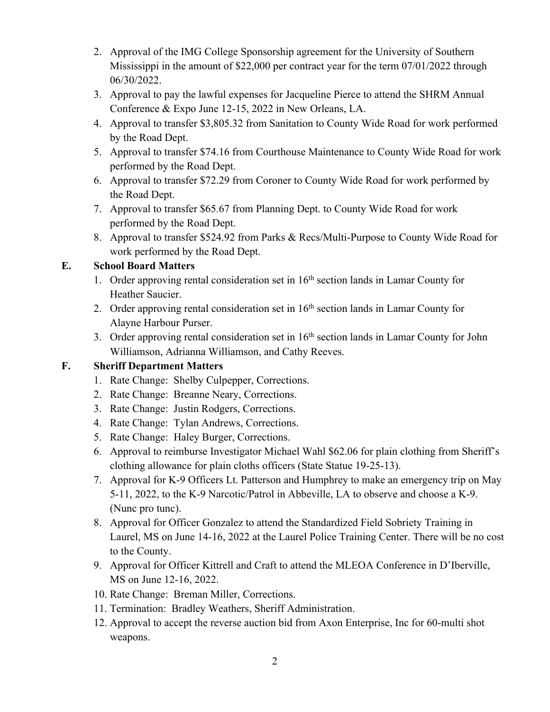- 2. Approval of the IMG College Sponsorship agreement for the University of Southern Mississippi in the amount of \$22,000 per contract year for the term 07/01/2022 through 06/30/2022.
- 3. Approval to pay the lawful expenses for Jacqueline Pierce to attend the SHRM Annual Conference & Expo June 12-15, 2022 in New Orleans, LA.
- 4. Approval to transfer \$3,805.32 from Sanitation to County Wide Road for work performed by the Road Dept.
- 5. Approval to transfer \$74.16 from Courthouse Maintenance to County Wide Road for work performed by the Road Dept.
- 6. Approval to transfer \$72.29 from Coroner to County Wide Road for work performed by the Road Dept.
- 7. Approval to transfer \$65.67 from Planning Dept. to County Wide Road for work performed by the Road Dept.
- 8. Approval to transfer \$524.92 from Parks & Recs/Multi-Purpose to County Wide Road for work performed by the Road Dept.

## **E. School Board Matters**

- 1. Order approving rental consideration set in  $16<sup>th</sup>$  section lands in Lamar County for Heather Saucier.
- 2. Order approving rental consideration set in  $16<sup>th</sup>$  section lands in Lamar County for Alayne Harbour Purser.
- 3. Order approving rental consideration set in 16<sup>th</sup> section lands in Lamar County for John Williamson, Adrianna Williamson, and Cathy Reeves.

## **F. Sheriff Department Matters**

- 1. Rate Change: Shelby Culpepper, Corrections.
- 2. Rate Change: Breanne Neary, Corrections.
- 3. Rate Change: Justin Rodgers, Corrections.
- 4. Rate Change: Tylan Andrews, Corrections.
- 5. Rate Change: Haley Burger, Corrections.
- 6. Approval to reimburse Investigator Michael Wahl \$62.06 for plain clothing from Sheriff's clothing allowance for plain cloths officers (State Statue 19-25-13).
- 7. Approval for K-9 Officers Lt. Patterson and Humphrey to make an emergency trip on May 5-11, 2022, to the K-9 Narcotic/Patrol in Abbeville, LA to observe and choose a K-9. (Nunc pro tunc).
- 8. Approval for Officer Gonzalez to attend the Standardized Field Sobriety Training in Laurel, MS on June 14-16, 2022 at the Laurel Police Training Center. There will be no cost to the County.
- 9. Approval for Officer Kittrell and Craft to attend the MLEOA Conference in D'Iberville, MS on June 12-16, 2022.
- 10. Rate Change: Breman Miller, Corrections.
- 11. Termination: Bradley Weathers, Sheriff Administration.
- 12. Approval to accept the reverse auction bid from Axon Enterprise, Inc for 60-multi shot weapons.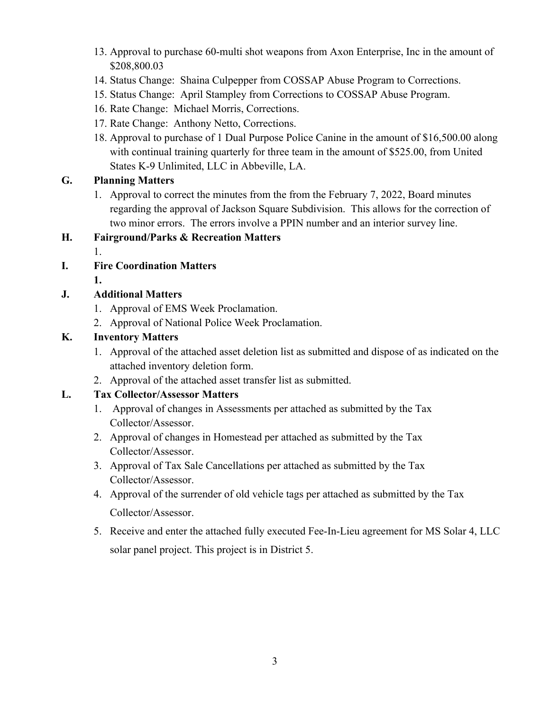- 13. Approval to purchase 60-multi shot weapons from Axon Enterprise, Inc in the amount of \$208,800.03
- 14. Status Change: Shaina Culpepper from COSSAP Abuse Program to Corrections.
- 15. Status Change: April Stampley from Corrections to COSSAP Abuse Program.
- 16. Rate Change: Michael Morris, Corrections.
- 17. Rate Change: Anthony Netto, Corrections.
- 18. Approval to purchase of 1 Dual Purpose Police Canine in the amount of \$16,500.00 along with continual training quarterly for three team in the amount of \$525.00, from United States K-9 Unlimited, LLC in Abbeville, LA.

## **G. Planning Matters**

1. Approval to correct the minutes from the from the February 7, 2022, Board minutes regarding the approval of Jackson Square Subdivision. This allows for the correction of two minor errors. The errors involve a PPIN number and an interior survey line.

#### **H. Fairground/Parks & Recreation Matters**

1.

- **I. Fire Coordination Matters**
	- **1.**

## **J. Additional Matters**

- 1. Approval of EMS Week Proclamation.
- 2. Approval of National Police Week Proclamation.

## **K. Inventory Matters**

- 1. Approval of the attached asset deletion list as submitted and dispose of as indicated on the attached inventory deletion form.
- 2. Approval of the attached asset transfer list as submitted.

## **L. Tax Collector/Assessor Matters**

- 1. Approval of changes in Assessments per attached as submitted by the Tax Collector/Assessor.
- 2. Approval of changes in Homestead per attached as submitted by the Tax Collector/Assessor.
- 3. Approval of Tax Sale Cancellations per attached as submitted by the Tax Collector/Assessor.
- 4. Approval of the surrender of old vehicle tags per attached as submitted by the Tax Collector/Assessor.
- 5. Receive and enter the attached fully executed Fee-In-Lieu agreement for MS Solar 4, LLC solar panel project. This project is in District 5.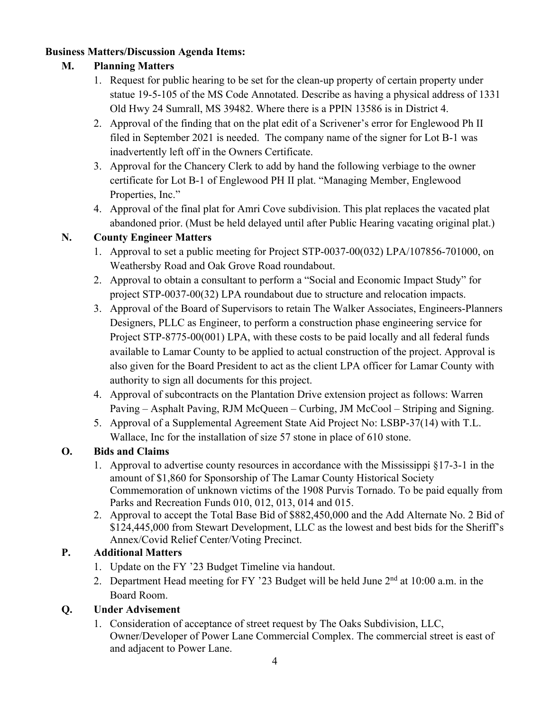#### **Business Matters/Discussion Agenda Items:**

## **M. Planning Matters**

- 1. Request for public hearing to be set for the clean-up property of certain property under statue 19-5-105 of the MS Code Annotated. Describe as having a physical address of 1331 Old Hwy 24 Sumrall, MS 39482. Where there is a PPIN 13586 is in District 4.
- 2. Approval of the finding that on the plat edit of a Scrivener's error for Englewood Ph II filed in September 2021 is needed. The company name of the signer for Lot B-1 was inadvertently left off in the Owners Certificate.
- 3. Approval for the Chancery Clerk to add by hand the following verbiage to the owner certificate for Lot B-1 of Englewood PH II plat. "Managing Member, Englewood Properties, Inc."
- 4. Approval of the final plat for Amri Cove subdivision. This plat replaces the vacated plat abandoned prior. (Must be held delayed until after Public Hearing vacating original plat.)

## **N. County Engineer Matters**

- 1. Approval to set a public meeting for Project STP-0037-00(032) LPA/107856-701000, on Weathersby Road and Oak Grove Road roundabout.
- 2. Approval to obtain a consultant to perform a "Social and Economic Impact Study" for project STP-0037-00(32) LPA roundabout due to structure and relocation impacts.
- 3. Approval of the Board of Supervisors to retain The Walker Associates, Engineers-Planners Designers, PLLC as Engineer, to perform a construction phase engineering service for Project STP-8775-00(001) LPA, with these costs to be paid locally and all federal funds available to Lamar County to be applied to actual construction of the project. Approval is also given for the Board President to act as the client LPA officer for Lamar County with authority to sign all documents for this project.
- 4. Approval of subcontracts on the Plantation Drive extension project as follows: Warren Paving – Asphalt Paving, RJM McQueen – Curbing, JM McCool – Striping and Signing.
- 5. Approval of a Supplemental Agreement State Aid Project No: LSBP-37(14) with T.L. Wallace, Inc for the installation of size 57 stone in place of 610 stone.

## **O. Bids and Claims**

- 1. Approval to advertise county resources in accordance with the Mississippi §17-3-1 in the amount of \$1,860 for Sponsorship of The Lamar County Historical Society Commemoration of unknown victims of the 1908 Purvis Tornado. To be paid equally from Parks and Recreation Funds 010, 012, 013, 014 and 015.
- 2. Approval to accept the Total Base Bid of \$882,450,000 and the Add Alternate No. 2 Bid of \$124,445,000 from Stewart Development, LLC as the lowest and best bids for the Sheriff's Annex/Covid Relief Center/Voting Precinct.

## **P. Additional Matters**

- 1. Update on the FY '23 Budget Timeline via handout.
- 2. Department Head meeting for FY '23 Budget will be held June  $2<sup>nd</sup>$  at 10:00 a.m. in the Board Room.

## **Q. Under Advisement**

1. Consideration of acceptance of street request by The Oaks Subdivision, LLC, Owner/Developer of Power Lane Commercial Complex. The commercial street is east of and adjacent to Power Lane.